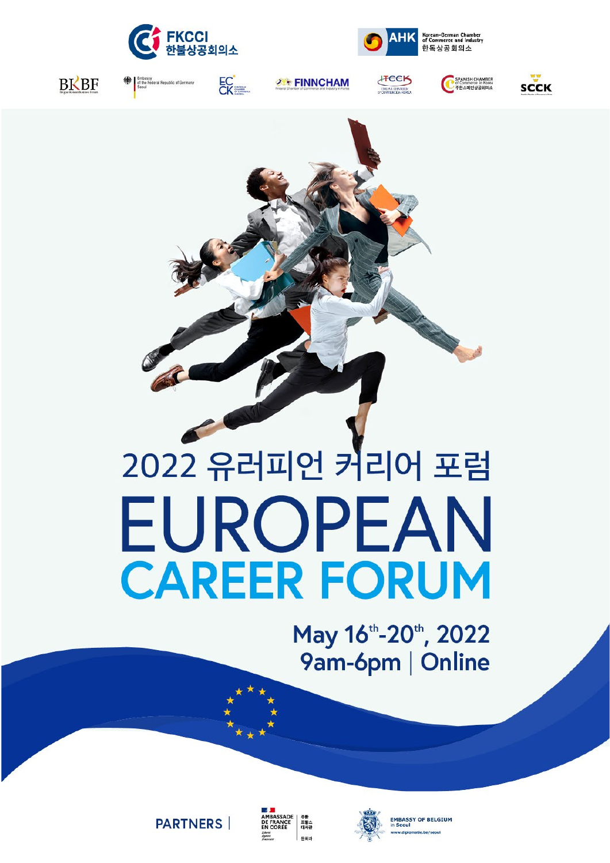





**BKBF** 



**2 FINNCHAM** 







# 2022 유러피언 커리어 포럼 EUROPEAN **CAREER FORUM**

May 16th-20th, 2022 9am-6pm | Online







**EMBASSY OF BELGIUM**<br>in Seoul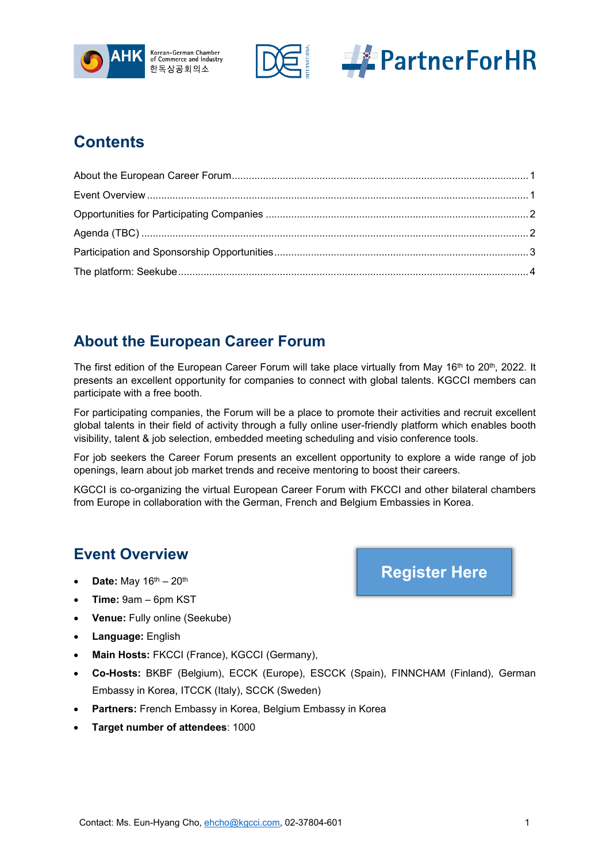





## **Contents**

# <span id="page-1-0"></span>**About the European Career Forum**

The first edition of the European Career Forum will take place virtually from May 16<sup>th</sup> to 20<sup>th</sup>, 2022. It presents an excellent opportunity for companies to connect with global talents. KGCCI members can participate with a free booth.

For participating companies, the Forum will be a place to promote their activities and recruit excellent global talents in their field of activity through a fully online user-friendly platform which enables booth visibility, talent & job selection, embedded meeting scheduling and visio conference tools.

For job seekers the Career Forum presents an excellent opportunity to explore a wide range of job openings, learn about job market trends and receive mentoring to boost their careers.

KGCCI is co-organizing the virtual European Career Forum with FKCCI and other bilateral chambers from Europe in collaboration with the German, French and Belgium Embassies in Korea.

### <span id="page-1-1"></span>**Event Overview**

- **Date:** May 16th 20th
- **Time:** 9am 6pm KST
- **Venue:** Fully online (Seekube)
- **Language:** English
- **Main Hosts:** FKCCI (France), KGCCI (Germany),
- **Co-Hosts:** BKBF (Belgium), ECCK (Europe), ESCCK (Spain), FINNCHAM (Finland), German Embassy in Korea, ITCCK (Italy), SCCK (Sweden)
- **Partners:** French Embassy in Korea, Belgium Embassy in Korea
- **Target number of attendees**: 1000

**[Register Here](https://kgccide.glueup.com/event/european-career-forum-2022-53661/)**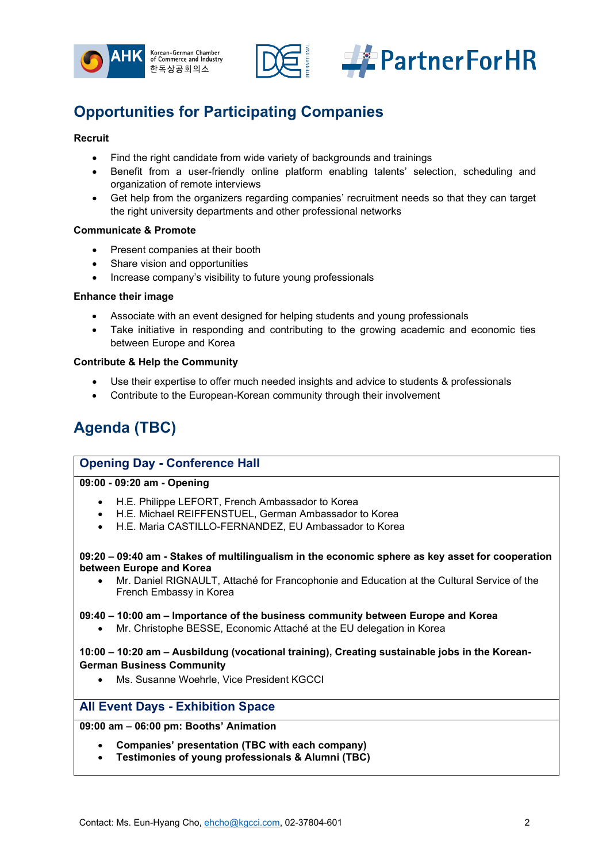



# <span id="page-2-0"></span>**Opportunities for Participating Companies**

#### **Recruit**

- Find the right candidate from wide variety of backgrounds and trainings
- Benefit from a user-friendly online platform enabling talents' selection, scheduling and organization of remote interviews
- Get help from the organizers regarding companies' recruitment needs so that they can target the right university departments and other professional networks

#### **Communicate & Promote**

- Present companies at their booth
- Share vision and opportunities
- Increase company's visibility to future young professionals

#### **Enhance their image**

- Associate with an event designed for helping students and young professionals
- Take initiative in responding and contributing to the growing academic and economic ties between Europe and Korea

#### **Contribute & Help the Community**

- Use their expertise to offer much needed insights and advice to students & professionals
- Contribute to the European-Korean community through their involvement

# <span id="page-2-1"></span>**Agenda (TBC)**

#### **Opening Day - Conference Hall**

**09:00 - 09:20 am - Opening** 

- H.E. Philippe LEFORT, French Ambassador to Korea
- H.E. Michael REIFFENSTUEL, German Ambassador to Korea
- H.E. Maria CASTILLO-FERNANDEZ, EU Ambassador to Korea

#### **09:20 – 09:40 am - Stakes of multilingualism in the economic sphere as key asset for cooperation between Europe and Korea**

• Mr. Daniel RIGNAULT, Attaché for Francophonie and Education at the Cultural Service of the French Embassy in Korea

#### **09:40 – 10:00 am – Importance of the business community between Europe and Korea**

• Mr. Christophe BESSE, Economic Attaché at the EU delegation in Korea

**10:00 – 10:20 am – Ausbildung (vocational training), Creating sustainable jobs in the Korean-German Business Community**

• Ms. Susanne Woehrle, Vice President KGCCI

#### **All Event Days - Exhibition Space**

#### **09:00 am – 06:00 pm: Booths' Animation**

- **Companies' presentation (TBC with each company)**
- **Testimonies of young professionals & Alumni (TBC)**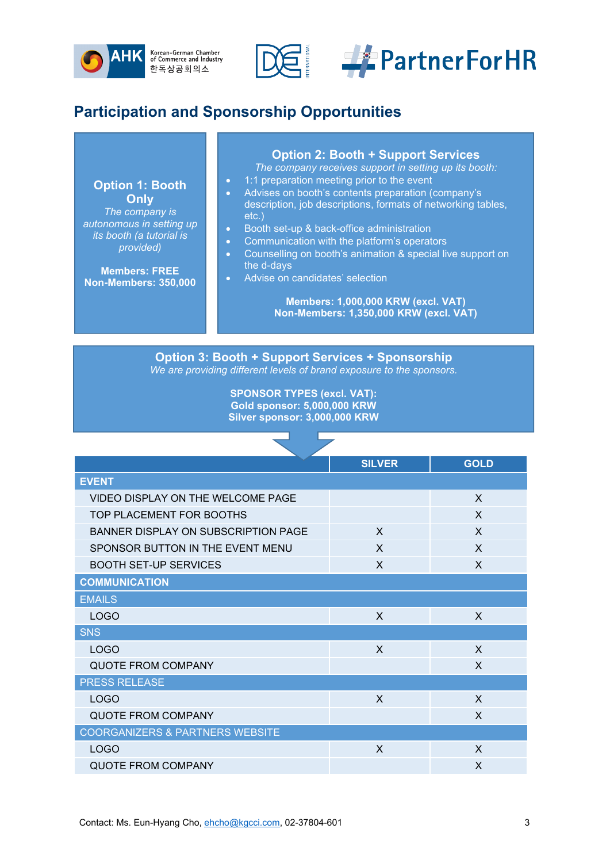



# <span id="page-3-0"></span>**Participation and Sponsorship Opportunities**

**Option 1: Booth Only** *The company is* 

*autonomous in setting up its booth (a tutorial is provided)*

**Members: FREE Non-Members: 350,000**

#### **Option 2: Booth + Support Services**

*The company receives support in setting up its booth:*

- 1:1 preparation meeting prior to the event
- Advises on booth's contents preparation (company's description, job descriptions, formats of networking tables, etc.)
- Booth set-up & back-office administration
- Communication with the platform's operators
- Counselling on booth's animation & special live support on the d-days
- Advise on candidates' selection

**Members: 1,000,000 KRW (excl. VAT) Non-Members: 1,350,000 KRW (excl. VAT)**

**Option 3: Booth + Support Services + Sponsorship** *We are providing different levels of brand exposure to the sponsors.*

> **SPONSOR TYPES (excl. VAT): Gold sponsor: 5,000,000 KRW Silver sponsor: 3,000,000 KRW**

|                                            | <b>SILVER</b> | <b>GOLD</b>  |  |
|--------------------------------------------|---------------|--------------|--|
| <b>EVENT</b>                               |               |              |  |
| VIDEO DISPLAY ON THE WELCOME PAGE          |               | X            |  |
| TOP PLACEMENT FOR BOOTHS                   |               | $\mathsf{X}$ |  |
| <b>BANNER DISPLAY ON SUBSCRIPTION PAGE</b> | X             | X            |  |
| SPONSOR BUTTON IN THE EVENT MENU           | X             | $\mathsf{x}$ |  |
| <b>BOOTH SET-UP SERVICES</b>               | X             | X            |  |
| <b>COMMUNICATION</b>                       |               |              |  |
| <b>EMAILS</b>                              |               |              |  |
| <b>LOGO</b>                                | X             | X            |  |
| <b>SNS</b>                                 |               |              |  |
| <b>LOGO</b>                                | X             | X            |  |
| <b>QUOTE FROM COMPANY</b>                  |               | X            |  |
| <b>PRESS RELEASE</b>                       |               |              |  |
| <b>LOGO</b>                                | X             | X            |  |
| <b>QUOTE FROM COMPANY</b>                  |               | X            |  |
| <b>COORGANIZERS &amp; PARTNERS WEBSITE</b> |               |              |  |
| <b>LOGO</b>                                | X             | X            |  |
| <b>QUOTE FROM COMPANY</b>                  |               | X            |  |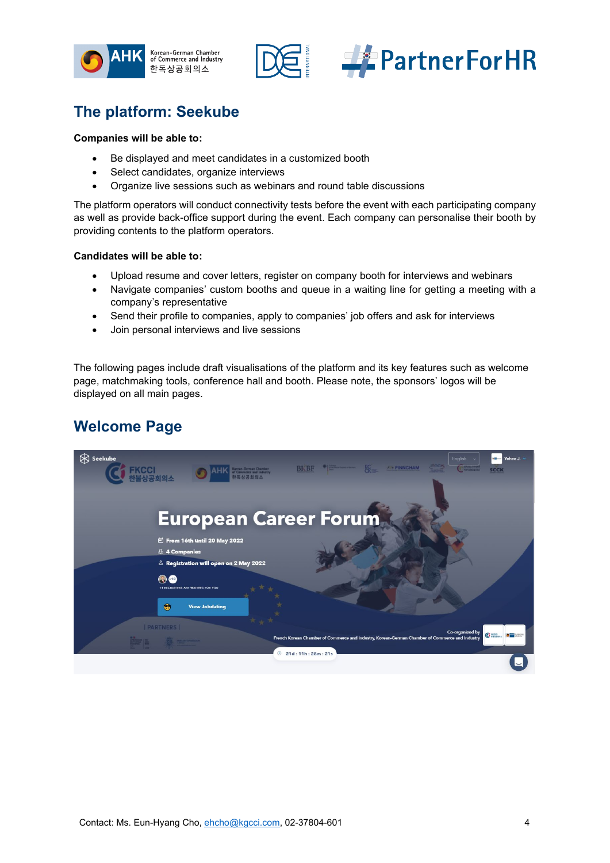





## <span id="page-4-0"></span>**The platform: Seekube**

#### **Companies will be able to:**

- Be displayed and meet candidates in a customized booth
- Select candidates, organize interviews
- Organize live sessions such as webinars and round table discussions

The platform operators will conduct connectivity tests before the event with each participating company as well as provide back-office support during the event. Each company can personalise their booth by providing contents to the platform operators.

#### **Candidates will be able to:**

- Upload resume and cover letters, register on company booth for interviews and webinars
- Navigate companies' custom booths and queue in a waiting line for getting a meeting with a company's representative
- Send their profile to companies, apply to companies' job offers and ask for interviews
- Join personal interviews and live sessions

The following pages include draft visualisations of the platform and its key features such as welcome page, matchmaking tools, conference hall and booth. Please note, the sponsors' logos will be displayed on all main pages.

## **Welcome Page**

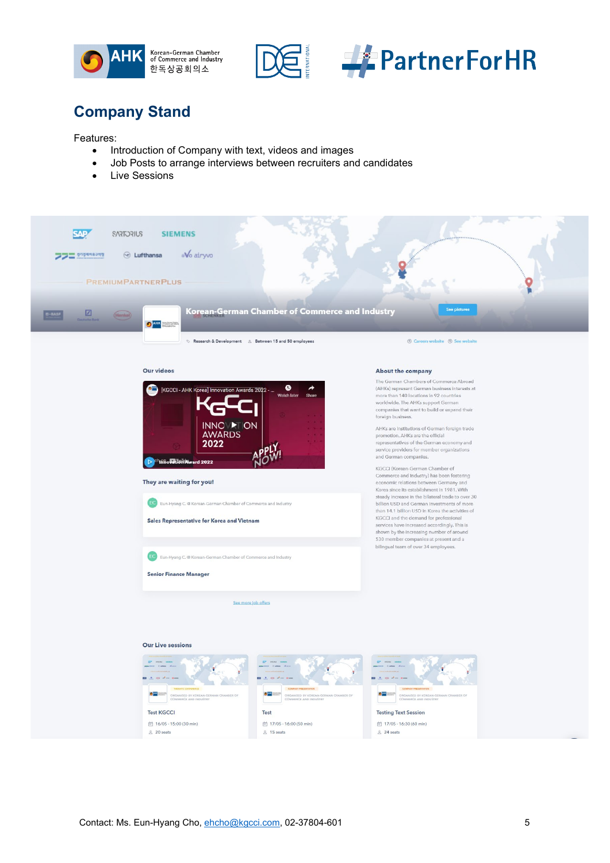





bilingual team of over 34 employees.

**Testing Text Session** 

台 17/05 - 16:30 (60 min)

 $24$  seats

# **Company Stand**

Features:

- Introduction of Company with text, videos and images
- Job Posts to arrange interviews between recruiters and candidates
- Live Sessions



EC Eun-Hyang C. @ Korean-German Chamber of Commerce and Industry

See more job offers

Test

 $\frac{8}{6}$  15 seats

台 17/05 - 16:00 (50 min)

Senior Finance Manager

**Our Live sessions** 

**Test KGCCI** 

 $20$  seats

**☆ 16/05 - 15:00 (30 min)**